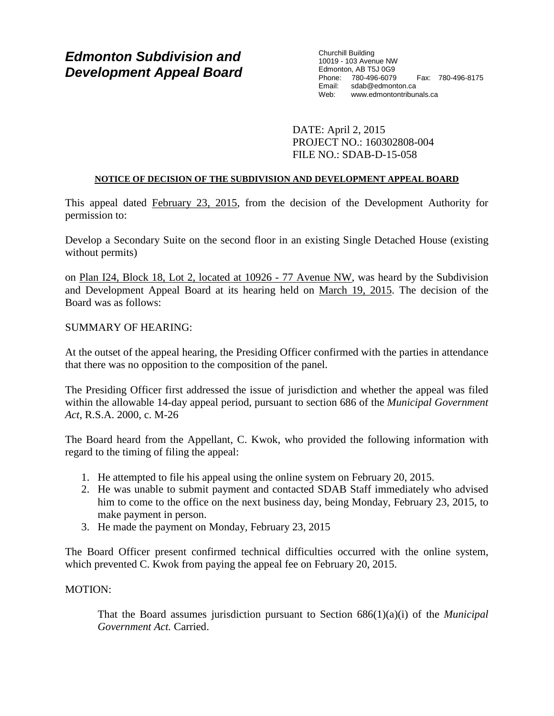# *Edmonton Subdivision and Development Appeal Board*

Churchill Building 10019 - 103 Avenue NW Edmonton, AB T5J 0G9 Phone: 780-496-6079 Fax: 780-496-8175 Email: sdab@edmonton.ca<br>Web: www.edmontontribur www.edmontontribunals.ca

DATE: April 2, 2015 PROJECT NO.: 160302808-004 FILE NO.: SDAB-D-15-058

## **NOTICE OF DECISION OF THE SUBDIVISION AND DEVELOPMENT APPEAL BOARD**

This appeal dated February 23, 2015, from the decision of the Development Authority for permission to:

Develop a Secondary Suite on the second floor in an existing Single Detached House (existing without permits)

on Plan I24, Block 18, Lot 2, located at 10926 - 77 Avenue NW, was heard by the Subdivision and Development Appeal Board at its hearing held on March 19, 2015. The decision of the Board was as follows:

## SUMMARY OF HEARING:

At the outset of the appeal hearing, the Presiding Officer confirmed with the parties in attendance that there was no opposition to the composition of the panel.

The Presiding Officer first addressed the issue of jurisdiction and whether the appeal was filed within the allowable 14-day appeal period, pursuant to section 686 of the *Municipal Government Act*, R.S.A. 2000, c. M-26

The Board heard from the Appellant, C. Kwok, who provided the following information with regard to the timing of filing the appeal:

- 1. He attempted to file his appeal using the online system on February 20, 2015.
- 2. He was unable to submit payment and contacted SDAB Staff immediately who advised him to come to the office on the next business day, being Monday, February 23, 2015, to make payment in person.
- 3. He made the payment on Monday, February 23, 2015

The Board Officer present confirmed technical difficulties occurred with the online system, which prevented C. Kwok from paying the appeal fee on February 20, 2015.

# MOTION:

That the Board assumes jurisdiction pursuant to Section 686(1)(a)(i) of the *Municipal Government Act.* Carried.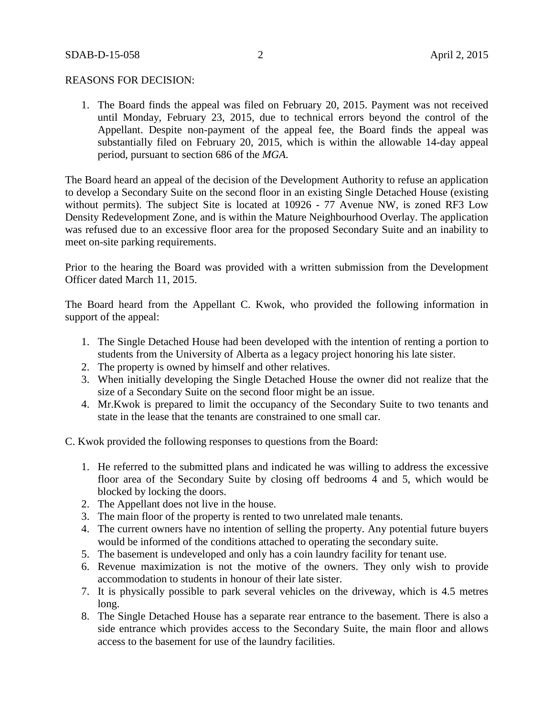### REASONS FOR DECISION:

1. The Board finds the appeal was filed on February 20, 2015. Payment was not received until Monday, February 23, 2015, due to technical errors beyond the control of the Appellant. Despite non-payment of the appeal fee, the Board finds the appeal was substantially filed on February 20, 2015, which is within the allowable 14-day appeal period, pursuant to section 686 of the *MGA*.

The Board heard an appeal of the decision of the Development Authority to refuse an application to develop a Secondary Suite on the second floor in an existing Single Detached House (existing without permits). The subject Site is located at 10926 - 77 Avenue NW, is zoned RF3 Low Density Redevelopment Zone, and is within the Mature Neighbourhood Overlay. The application was refused due to an excessive floor area for the proposed Secondary Suite and an inability to meet on-site parking requirements.

Prior to the hearing the Board was provided with a written submission from the Development Officer dated March 11, 2015.

The Board heard from the Appellant C. Kwok, who provided the following information in support of the appeal:

- 1. The Single Detached House had been developed with the intention of renting a portion to students from the University of Alberta as a legacy project honoring his late sister.
- 2. The property is owned by himself and other relatives.
- 3. When initially developing the Single Detached House the owner did not realize that the size of a Secondary Suite on the second floor might be an issue.
- 4. Mr.Kwok is prepared to limit the occupancy of the Secondary Suite to two tenants and state in the lease that the tenants are constrained to one small car.

C. Kwok provided the following responses to questions from the Board:

- 1. He referred to the submitted plans and indicated he was willing to address the excessive floor area of the Secondary Suite by closing off bedrooms 4 and 5, which would be blocked by locking the doors.
- 2. The Appellant does not live in the house.
- 3. The main floor of the property is rented to two unrelated male tenants.
- 4. The current owners have no intention of selling the property. Any potential future buyers would be informed of the conditions attached to operating the secondary suite.
- 5. The basement is undeveloped and only has a coin laundry facility for tenant use.
- 6. Revenue maximization is not the motive of the owners. They only wish to provide accommodation to students in honour of their late sister.
- 7. It is physically possible to park several vehicles on the driveway, which is 4.5 metres long.
- 8. The Single Detached House has a separate rear entrance to the basement. There is also a side entrance which provides access to the Secondary Suite, the main floor and allows access to the basement for use of the laundry facilities.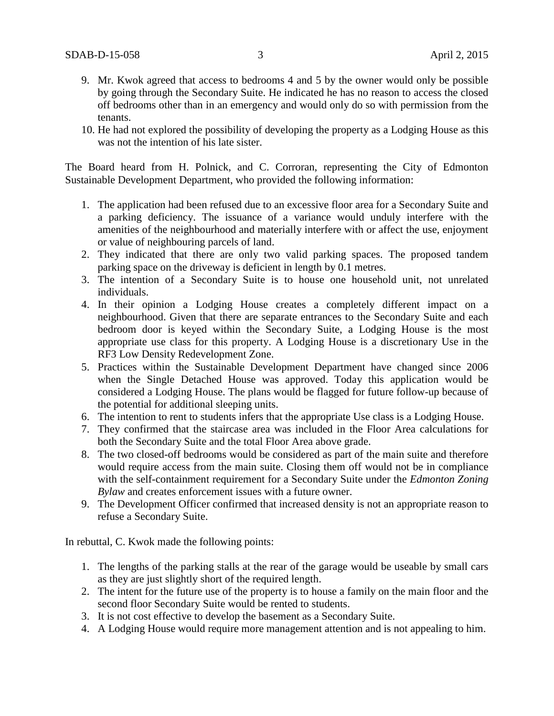- 9. Mr. Kwok agreed that access to bedrooms 4 and 5 by the owner would only be possible by going through the Secondary Suite. He indicated he has no reason to access the closed off bedrooms other than in an emergency and would only do so with permission from the tenants.
- 10. He had not explored the possibility of developing the property as a Lodging House as this was not the intention of his late sister.

The Board heard from H. Polnick, and C. Corroran, representing the City of Edmonton Sustainable Development Department, who provided the following information:

- 1. The application had been refused due to an excessive floor area for a Secondary Suite and a parking deficiency. The issuance of a variance would unduly interfere with the amenities of the neighbourhood and materially interfere with or affect the use, enjoyment or value of neighbouring parcels of land.
- 2. They indicated that there are only two valid parking spaces. The proposed tandem parking space on the driveway is deficient in length by 0.1 metres.
- 3. The intention of a Secondary Suite is to house one household unit, not unrelated individuals.
- 4. In their opinion a Lodging House creates a completely different impact on a neighbourhood. Given that there are separate entrances to the Secondary Suite and each bedroom door is keyed within the Secondary Suite, a Lodging House is the most appropriate use class for this property. A Lodging House is a discretionary Use in the RF3 Low Density Redevelopment Zone.
- 5. Practices within the Sustainable Development Department have changed since 2006 when the Single Detached House was approved. Today this application would be considered a Lodging House. The plans would be flagged for future follow-up because of the potential for additional sleeping units.
- 6. The intention to rent to students infers that the appropriate Use class is a Lodging House.
- 7. They confirmed that the staircase area was included in the Floor Area calculations for both the Secondary Suite and the total Floor Area above grade.
- 8. The two closed-off bedrooms would be considered as part of the main suite and therefore would require access from the main suite. Closing them off would not be in compliance with the self-containment requirement for a Secondary Suite under the *Edmonton Zoning Bylaw* and creates enforcement issues with a future owner.
- 9. The Development Officer confirmed that increased density is not an appropriate reason to refuse a Secondary Suite.

In rebuttal, C. Kwok made the following points:

- 1. The lengths of the parking stalls at the rear of the garage would be useable by small cars as they are just slightly short of the required length.
- 2. The intent for the future use of the property is to house a family on the main floor and the second floor Secondary Suite would be rented to students.
- 3. It is not cost effective to develop the basement as a Secondary Suite.
- 4. A Lodging House would require more management attention and is not appealing to him.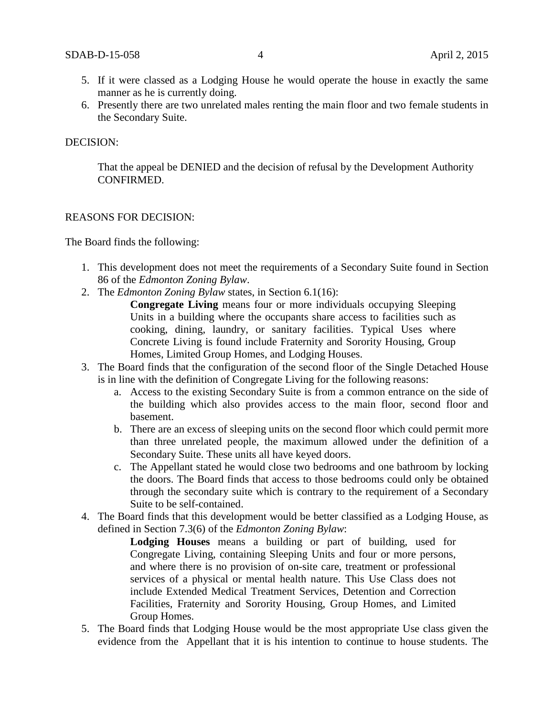- 5. If it were classed as a Lodging House he would operate the house in exactly the same manner as he is currently doing.
- 6. Presently there are two unrelated males renting the main floor and two female students in the Secondary Suite.

#### DECISION:

That the appeal be DENIED and the decision of refusal by the Development Authority CONFIRMED.

#### REASONS FOR DECISION:

The Board finds the following:

- 1. This development does not meet the requirements of a Secondary Suite found in Section 86 of the *Edmonton Zoning Bylaw*.
- 2. The *Edmonton Zoning Bylaw* states, in Section 6.1(16):

**Congregate Living** means four or more individuals occupying Sleeping Units in a building where the occupants share access to facilities such as cooking, dining, laundry, or sanitary facilities. Typical Uses where Concrete Living is found include Fraternity and Sorority Housing, Group Homes, Limited Group Homes, and Lodging Houses.

- 3. The Board finds that the configuration of the second floor of the Single Detached House is in line with the definition of Congregate Living for the following reasons:
	- a. Access to the existing Secondary Suite is from a common entrance on the side of the building which also provides access to the main floor, second floor and basement.
	- b. There are an excess of sleeping units on the second floor which could permit more than three unrelated people, the maximum allowed under the definition of a Secondary Suite. These units all have keyed doors.
	- c. The Appellant stated he would close two bedrooms and one bathroom by locking the doors. The Board finds that access to those bedrooms could only be obtained through the secondary suite which is contrary to the requirement of a Secondary Suite to be self-contained.
- 4. The Board finds that this development would be better classified as a Lodging House, as defined in Section 7.3(6) of the *Edmonton Zoning Bylaw*:

**Lodging Houses** means a building or part of building, used for Congregate Living, containing Sleeping Units and four or more persons, and where there is no provision of on-site care, treatment or professional services of a physical or mental health nature. This Use Class does not include Extended Medical Treatment Services, Detention and Correction Facilities, Fraternity and Sorority Housing, Group Homes, and Limited Group Homes.

5. The Board finds that Lodging House would be the most appropriate Use class given the evidence from the Appellant that it is his intention to continue to house students. The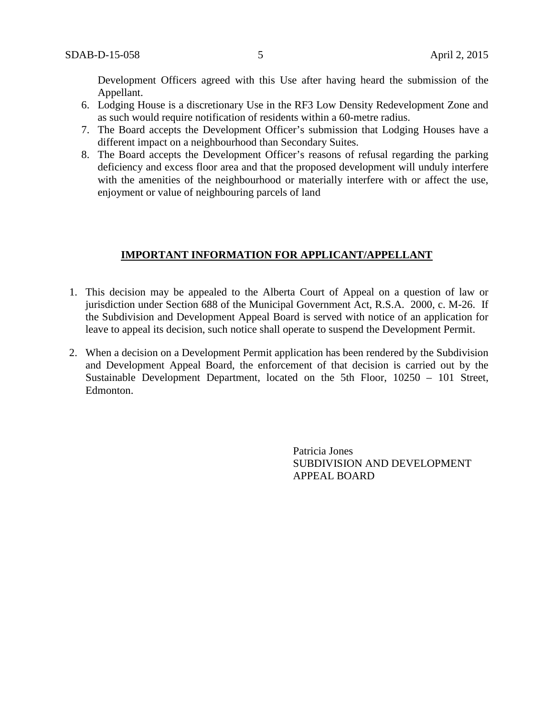Development Officers agreed with this Use after having heard the submission of the Appellant.

- 6. Lodging House is a discretionary Use in the RF3 Low Density Redevelopment Zone and as such would require notification of residents within a 60-metre radius.
- 7. The Board accepts the Development Officer's submission that Lodging Houses have a different impact on a neighbourhood than Secondary Suites.
- 8. The Board accepts the Development Officer's reasons of refusal regarding the parking deficiency and excess floor area and that the proposed development will unduly interfere with the amenities of the neighbourhood or materially interfere with or affect the use, enjoyment or value of neighbouring parcels of land

# **IMPORTANT INFORMATION FOR APPLICANT/APPELLANT**

- 1. This decision may be appealed to the Alberta Court of Appeal on a question of law or jurisdiction under Section 688 of the Municipal Government Act, R.S.A. 2000, c. M-26. If the Subdivision and Development Appeal Board is served with notice of an application for leave to appeal its decision, such notice shall operate to suspend the Development Permit.
- 2. When a decision on a Development Permit application has been rendered by the Subdivision and Development Appeal Board, the enforcement of that decision is carried out by the Sustainable Development Department, located on the 5th Floor, 10250 – 101 Street, Edmonton.

Patricia Jones SUBDIVISION AND DEVELOPMENT APPEAL BOARD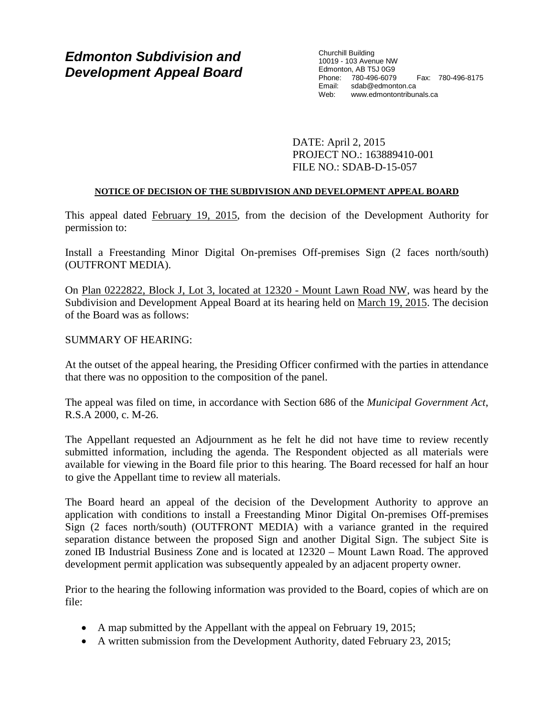# *Edmonton Subdivision and Development Appeal Board*

Churchill Building 10019 - 103 Avenue NW Edmonton, AB T5J 0G9 Phone: 780-496-6079 Fax: 780-496-8175 Email: sdab@edmonton.ca Web: www.edmontontribunals.ca

DATE: April 2, 2015 PROJECT NO.: 163889410-001 FILE NO.: SDAB-D-15-057

## **NOTICE OF DECISION OF THE SUBDIVISION AND DEVELOPMENT APPEAL BOARD**

This appeal dated February 19, 2015, from the decision of the Development Authority for permission to:

Install a Freestanding Minor Digital On-premises Off-premises Sign (2 faces north/south) (OUTFRONT MEDIA).

On Plan 0222822, Block J, Lot 3, located at 12320 - Mount Lawn Road NW, was heard by the Subdivision and Development Appeal Board at its hearing held on March 19, 2015. The decision of the Board was as follows:

SUMMARY OF HEARING:

At the outset of the appeal hearing, the Presiding Officer confirmed with the parties in attendance that there was no opposition to the composition of the panel.

The appeal was filed on time, in accordance with Section 686 of the *Municipal Government Act*, R.S.A 2000, c. M-26.

The Appellant requested an Adjournment as he felt he did not have time to review recently submitted information, including the agenda. The Respondent objected as all materials were available for viewing in the Board file prior to this hearing. The Board recessed for half an hour to give the Appellant time to review all materials.

The Board heard an appeal of the decision of the Development Authority to approve an application with conditions to install a Freestanding Minor Digital On-premises Off-premises Sign (2 faces north/south) (OUTFRONT MEDIA) with a variance granted in the required separation distance between the proposed Sign and another Digital Sign. The subject Site is zoned IB Industrial Business Zone and is located at 12320 – Mount Lawn Road. The approved development permit application was subsequently appealed by an adjacent property owner.

Prior to the hearing the following information was provided to the Board, copies of which are on file:

- A map submitted by the Appellant with the appeal on February 19, 2015;
- A written submission from the Development Authority, dated February 23, 2015;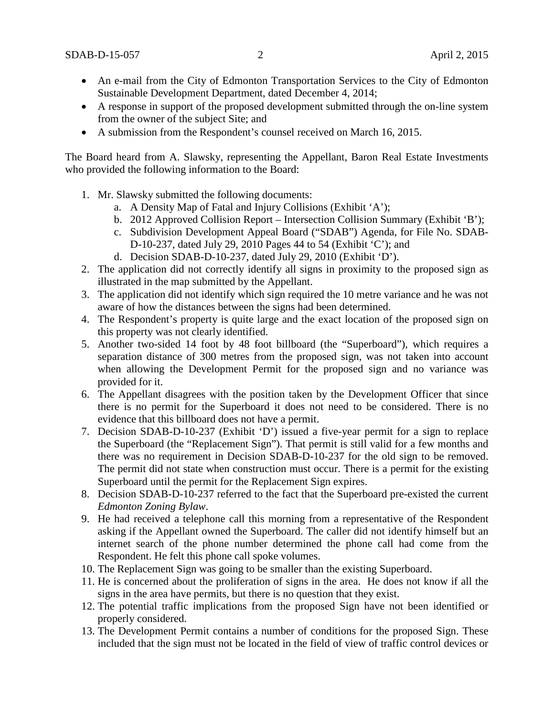- An e-mail from the City of Edmonton Transportation Services to the City of Edmonton Sustainable Development Department, dated December 4, 2014;
- A response in support of the proposed development submitted through the on-line system from the owner of the subject Site; and
- A submission from the Respondent's counsel received on March 16, 2015.

The Board heard from A. Slawsky, representing the Appellant, Baron Real Estate Investments who provided the following information to the Board:

- 1. Mr. Slawsky submitted the following documents:
	- a. A Density Map of Fatal and Injury Collisions (Exhibit 'A');
	- b. 2012 Approved Collision Report Intersection Collision Summary (Exhibit 'B');
	- c. Subdivision Development Appeal Board ("SDAB") Agenda, for File No. SDAB-D-10-237, dated July 29, 2010 Pages 44 to 54 (Exhibit 'C'); and
	- d. Decision SDAB-D-10-237, dated July 29, 2010 (Exhibit 'D').
- 2. The application did not correctly identify all signs in proximity to the proposed sign as illustrated in the map submitted by the Appellant.
- 3. The application did not identify which sign required the 10 metre variance and he was not aware of how the distances between the signs had been determined.
- 4. The Respondent's property is quite large and the exact location of the proposed sign on this property was not clearly identified.
- 5. Another two-sided 14 foot by 48 foot billboard (the "Superboard"), which requires a separation distance of 300 metres from the proposed sign, was not taken into account when allowing the Development Permit for the proposed sign and no variance was provided for it.
- 6. The Appellant disagrees with the position taken by the Development Officer that since there is no permit for the Superboard it does not need to be considered. There is no evidence that this billboard does not have a permit.
- 7. Decision SDAB-D-10-237 (Exhibit 'D') issued a five-year permit for a sign to replace the Superboard (the "Replacement Sign"). That permit is still valid for a few months and there was no requirement in Decision SDAB-D-10-237 for the old sign to be removed. The permit did not state when construction must occur. There is a permit for the existing Superboard until the permit for the Replacement Sign expires.
- 8. Decision SDAB-D-10-237 referred to the fact that the Superboard pre-existed the current *Edmonton Zoning Bylaw*.
- 9. He had received a telephone call this morning from a representative of the Respondent asking if the Appellant owned the Superboard. The caller did not identify himself but an internet search of the phone number determined the phone call had come from the Respondent. He felt this phone call spoke volumes.
- 10. The Replacement Sign was going to be smaller than the existing Superboard.
- 11. He is concerned about the proliferation of signs in the area. He does not know if all the signs in the area have permits, but there is no question that they exist.
- 12. The potential traffic implications from the proposed Sign have not been identified or properly considered.
- 13. The Development Permit contains a number of conditions for the proposed Sign. These included that the sign must not be located in the field of view of traffic control devices or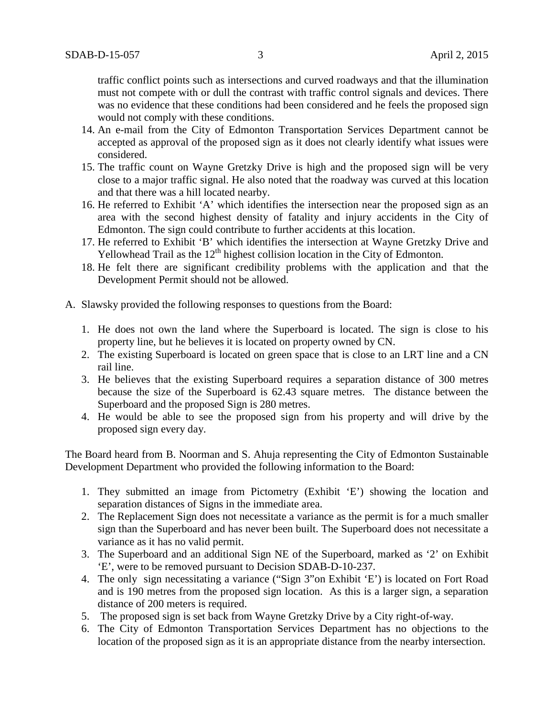traffic conflict points such as intersections and curved roadways and that the illumination must not compete with or dull the contrast with traffic control signals and devices. There was no evidence that these conditions had been considered and he feels the proposed sign would not comply with these conditions.

- 14. An e-mail from the City of Edmonton Transportation Services Department cannot be accepted as approval of the proposed sign as it does not clearly identify what issues were considered.
- 15. The traffic count on Wayne Gretzky Drive is high and the proposed sign will be very close to a major traffic signal. He also noted that the roadway was curved at this location and that there was a hill located nearby.
- 16. He referred to Exhibit 'A' which identifies the intersection near the proposed sign as an area with the second highest density of fatality and injury accidents in the City of Edmonton. The sign could contribute to further accidents at this location.
- 17. He referred to Exhibit 'B' which identifies the intersection at Wayne Gretzky Drive and Yellowhead Trail as the  $12<sup>th</sup>$  highest collision location in the City of Edmonton.
- 18. He felt there are significant credibility problems with the application and that the Development Permit should not be allowed.
- A. Slawsky provided the following responses to questions from the Board:
	- 1. He does not own the land where the Superboard is located. The sign is close to his property line, but he believes it is located on property owned by CN.
	- 2. The existing Superboard is located on green space that is close to an LRT line and a CN rail line.
	- 3. He believes that the existing Superboard requires a separation distance of 300 metres because the size of the Superboard is 62.43 square metres. The distance between the Superboard and the proposed Sign is 280 metres.
	- 4. He would be able to see the proposed sign from his property and will drive by the proposed sign every day.

The Board heard from B. Noorman and S. Ahuja representing the City of Edmonton Sustainable Development Department who provided the following information to the Board:

- 1. They submitted an image from Pictometry (Exhibit 'E') showing the location and separation distances of Signs in the immediate area.
- 2. The Replacement Sign does not necessitate a variance as the permit is for a much smaller sign than the Superboard and has never been built. The Superboard does not necessitate a variance as it has no valid permit.
- 3. The Superboard and an additional Sign NE of the Superboard, marked as '2' on Exhibit 'E', were to be removed pursuant to Decision SDAB-D-10-237.
- 4. The only sign necessitating a variance ("Sign 3"on Exhibit 'E') is located on Fort Road and is 190 metres from the proposed sign location. As this is a larger sign, a separation distance of 200 meters is required.
- 5. The proposed sign is set back from Wayne Gretzky Drive by a City right-of-way.
- 6. The City of Edmonton Transportation Services Department has no objections to the location of the proposed sign as it is an appropriate distance from the nearby intersection.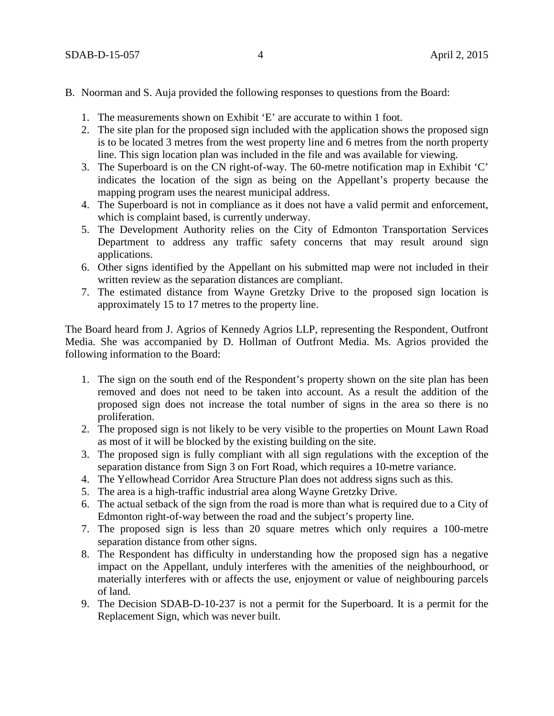- 1. The measurements shown on Exhibit 'E' are accurate to within 1 foot.
- 2. The site plan for the proposed sign included with the application shows the proposed sign is to be located 3 metres from the west property line and 6 metres from the north property line. This sign location plan was included in the file and was available for viewing.
- 3. The Superboard is on the CN right-of-way. The 60-metre notification map in Exhibit 'C' indicates the location of the sign as being on the Appellant's property because the mapping program uses the nearest municipal address.
- 4. The Superboard is not in compliance as it does not have a valid permit and enforcement, which is complaint based, is currently underway.
- 5. The Development Authority relies on the City of Edmonton Transportation Services Department to address any traffic safety concerns that may result around sign applications.
- 6. Other signs identified by the Appellant on his submitted map were not included in their written review as the separation distances are compliant.
- 7. The estimated distance from Wayne Gretzky Drive to the proposed sign location is approximately 15 to 17 metres to the property line.

The Board heard from J. Agrios of Kennedy Agrios LLP, representing the Respondent, Outfront Media. She was accompanied by D. Hollman of Outfront Media. Ms. Agrios provided the following information to the Board:

- 1. The sign on the south end of the Respondent's property shown on the site plan has been removed and does not need to be taken into account. As a result the addition of the proposed sign does not increase the total number of signs in the area so there is no proliferation.
- 2. The proposed sign is not likely to be very visible to the properties on Mount Lawn Road as most of it will be blocked by the existing building on the site.
- 3. The proposed sign is fully compliant with all sign regulations with the exception of the separation distance from Sign 3 on Fort Road, which requires a 10-metre variance.
- 4. The Yellowhead Corridor Area Structure Plan does not address signs such as this.
- 5. The area is a high-traffic industrial area along Wayne Gretzky Drive.
- 6. The actual setback of the sign from the road is more than what is required due to a City of Edmonton right-of-way between the road and the subject's property line.
- 7. The proposed sign is less than 20 square metres which only requires a 100-metre separation distance from other signs.
- 8. The Respondent has difficulty in understanding how the proposed sign has a negative impact on the Appellant, unduly interferes with the amenities of the neighbourhood, or materially interferes with or affects the use, enjoyment or value of neighbouring parcels of land.
- 9. The Decision SDAB-D-10-237 is not a permit for the Superboard. It is a permit for the Replacement Sign, which was never built.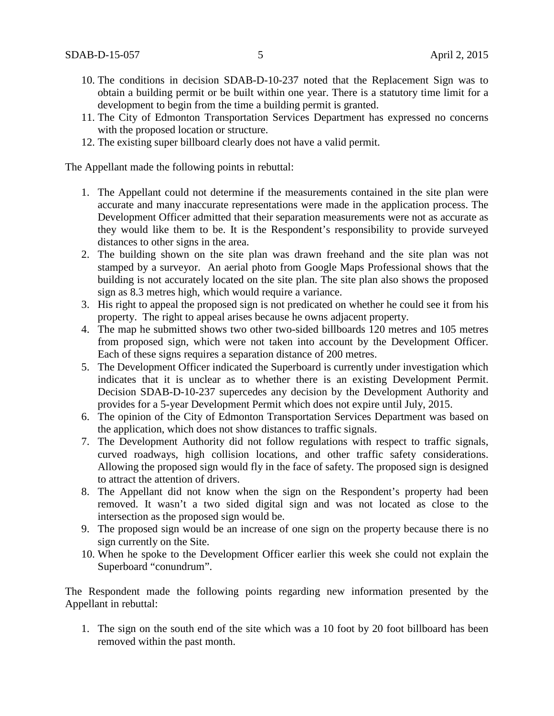- 10. The conditions in decision SDAB-D-10-237 noted that the Replacement Sign was to obtain a building permit or be built within one year. There is a statutory time limit for a development to begin from the time a building permit is granted.
- 11. The City of Edmonton Transportation Services Department has expressed no concerns with the proposed location or structure.
- 12. The existing super billboard clearly does not have a valid permit.

The Appellant made the following points in rebuttal:

- 1. The Appellant could not determine if the measurements contained in the site plan were accurate and many inaccurate representations were made in the application process. The Development Officer admitted that their separation measurements were not as accurate as they would like them to be. It is the Respondent's responsibility to provide surveyed distances to other signs in the area.
- 2. The building shown on the site plan was drawn freehand and the site plan was not stamped by a surveyor. An aerial photo from Google Maps Professional shows that the building is not accurately located on the site plan. The site plan also shows the proposed sign as 8.3 metres high, which would require a variance.
- 3. His right to appeal the proposed sign is not predicated on whether he could see it from his property. The right to appeal arises because he owns adjacent property.
- 4. The map he submitted shows two other two-sided billboards 120 metres and 105 metres from proposed sign, which were not taken into account by the Development Officer. Each of these signs requires a separation distance of 200 metres.
- 5. The Development Officer indicated the Superboard is currently under investigation which indicates that it is unclear as to whether there is an existing Development Permit. Decision SDAB-D-10-237 supercedes any decision by the Development Authority and provides for a 5-year Development Permit which does not expire until July, 2015.
- 6. The opinion of the City of Edmonton Transportation Services Department was based on the application, which does not show distances to traffic signals.
- 7. The Development Authority did not follow regulations with respect to traffic signals, curved roadways, high collision locations, and other traffic safety considerations. Allowing the proposed sign would fly in the face of safety. The proposed sign is designed to attract the attention of drivers.
- 8. The Appellant did not know when the sign on the Respondent's property had been removed. It wasn't a two sided digital sign and was not located as close to the intersection as the proposed sign would be.
- 9. The proposed sign would be an increase of one sign on the property because there is no sign currently on the Site.
- 10. When he spoke to the Development Officer earlier this week she could not explain the Superboard "conundrum".

The Respondent made the following points regarding new information presented by the Appellant in rebuttal:

1. The sign on the south end of the site which was a 10 foot by 20 foot billboard has been removed within the past month.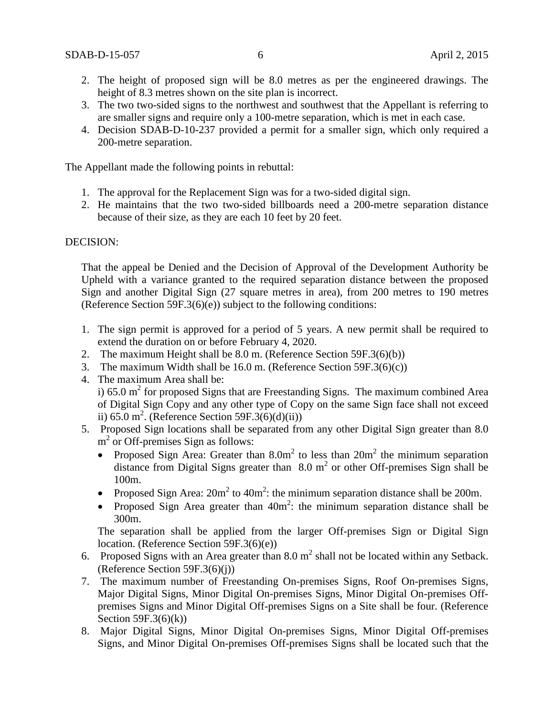- 2. The height of proposed sign will be 8.0 metres as per the engineered drawings. The height of 8.3 metres shown on the site plan is incorrect.
- 3. The two two-sided signs to the northwest and southwest that the Appellant is referring to are smaller signs and require only a 100-metre separation, which is met in each case.
- 4. Decision SDAB-D-10-237 provided a permit for a smaller sign, which only required a 200-metre separation.

The Appellant made the following points in rebuttal:

- 1. The approval for the Replacement Sign was for a two-sided digital sign.
- 2. He maintains that the two two-sided billboards need a 200-metre separation distance because of their size, as they are each 10 feet by 20 feet.

### DECISION:

That the appeal be Denied and the Decision of Approval of the Development Authority be Upheld with a variance granted to the required separation distance between the proposed Sign and another Digital Sign (27 square metres in area), from 200 metres to 190 metres (Reference Section 59F.3(6)(e)) subject to the following conditions:

- 1. The sign permit is approved for a period of 5 years. A new permit shall be required to extend the duration on or before February 4, 2020.
- 2. The maximum Height shall be 8.0 m. (Reference Section 59F.3(6)(b))
- 3. The maximum Width shall be 16.0 m. (Reference Section 59F.3(6)(c))
- 4. The maximum Area shall be: i) 65.0  $m<sup>2</sup>$  for proposed Signs that are Freestanding Signs. The maximum combined Area of Digital Sign Copy and any other type of Copy on the same Sign face shall not exceed ii) 65.0 m<sup>2</sup>. (Reference Section 59F.3(6)(d)(ii))
- 5. Proposed Sign locations shall be separated from any other Digital Sign greater than 8.0 m<sup>2</sup> or Off-premises Sign as follows:
	- Proposed Sign Area: Greater than  $8.0m^2$  to less than  $20m^2$  the minimum separation distance from Digital Signs greater than  $8.0 \text{ m}^2$  or other Off-premises Sign shall be 100m.
	- Proposed Sign Area:  $20m^2$  to  $40m^2$ : the minimum separation distance shall be  $200m$ .
	- Proposed Sign Area greater than  $40m^2$ : the minimum separation distance shall be 300m.

The separation shall be applied from the larger Off-premises Sign or Digital Sign location. (Reference Section 59F.3(6)(e))

- 6. Proposed Signs with an Area greater than  $8.0 \text{ m}^2$  shall not be located within any Setback. (Reference Section 59F.3(6)(j))
- 7. The maximum number of Freestanding On-premises Signs, Roof On-premises Signs, Major Digital Signs, Minor Digital On-premises Signs, Minor Digital On-premises Offpremises Signs and Minor Digital Off-premises Signs on a Site shall be four. (Reference Section  $59F.3(6)(k)$
- 8. Major Digital Signs, Minor Digital On-premises Signs, Minor Digital Off-premises Signs, and Minor Digital On-premises Off-premises Signs shall be located such that the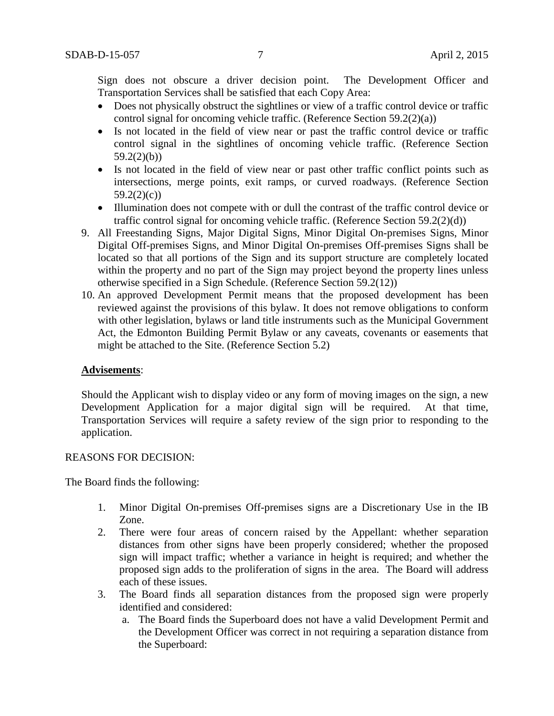Sign does not obscure a driver decision point. The Development Officer and Transportation Services shall be satisfied that each Copy Area:

- Does not physically obstruct the sightlines or view of a traffic control device or traffic control signal for oncoming vehicle traffic. (Reference Section 59.2(2)(a))
- Is not located in the field of view near or past the traffic control device or traffic control signal in the sightlines of oncoming vehicle traffic. (Reference Section  $59.2(2)(b)$
- Is not located in the field of view near or past other traffic conflict points such as intersections, merge points, exit ramps, or curved roadways. (Reference Section  $59.2(2)(c)$
- Illumination does not compete with or dull the contrast of the traffic control device or traffic control signal for oncoming vehicle traffic. (Reference Section 59.2(2)(d))
- 9. All Freestanding Signs, Major Digital Signs, Minor Digital On-premises Signs, Minor Digital Off-premises Signs, and Minor Digital On-premises Off-premises Signs shall be located so that all portions of the Sign and its support structure are completely located within the property and no part of the Sign may project beyond the property lines unless otherwise specified in a Sign Schedule. (Reference Section 59.2(12))
- 10. An approved Development Permit means that the proposed development has been reviewed against the provisions of this bylaw. It does not remove obligations to conform with other legislation, bylaws or land title instruments such as the Municipal Government Act, the Edmonton Building Permit Bylaw or any caveats, covenants or easements that might be attached to the Site. (Reference Section 5.2)

# **Advisements**:

Should the Applicant wish to display video or any form of moving images on the sign, a new Development Application for a major digital sign will be required. At that time, Transportation Services will require a safety review of the sign prior to responding to the application.

# REASONS FOR DECISION:

The Board finds the following:

- 1. Minor Digital On-premises Off-premises signs are a Discretionary Use in the IB Zone.
- 2. There were four areas of concern raised by the Appellant: whether separation distances from other signs have been properly considered; whether the proposed sign will impact traffic; whether a variance in height is required; and whether the proposed sign adds to the proliferation of signs in the area. The Board will address each of these issues.
- 3. The Board finds all separation distances from the proposed sign were properly identified and considered:
	- a. The Board finds the Superboard does not have a valid Development Permit and the Development Officer was correct in not requiring a separation distance from the Superboard: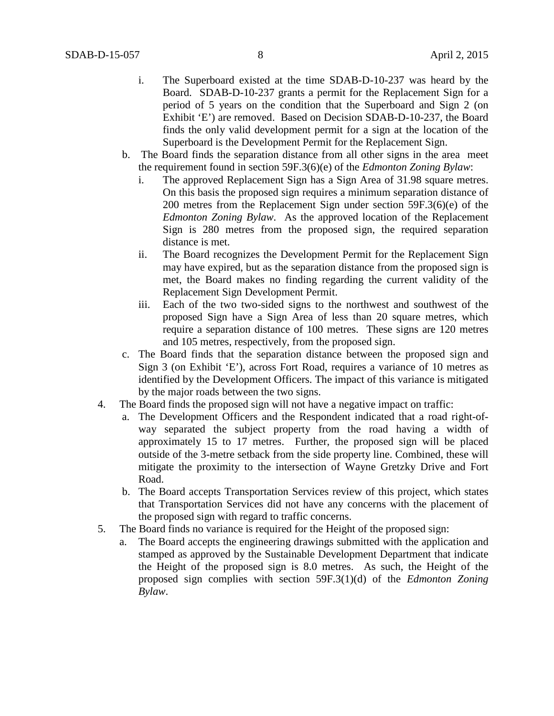- i. The Superboard existed at the time SDAB-D-10-237 was heard by the Board. SDAB-D-10-237 grants a permit for the Replacement Sign for a period of 5 years on the condition that the Superboard and Sign 2 (on Exhibit 'E') are removed. Based on Decision SDAB-D-10-237, the Board finds the only valid development permit for a sign at the location of the Superboard is the Development Permit for the Replacement Sign.
- b. The Board finds the separation distance from all other signs in the area meet the requirement found in section 59F.3(6)(e) of the *Edmonton Zoning Bylaw*:
	- i. The approved Replacement Sign has a Sign Area of 31.98 square metres. On this basis the proposed sign requires a minimum separation distance of 200 metres from the Replacement Sign under section 59F.3(6)(e) of the *Edmonton Zoning Bylaw*. As the approved location of the Replacement Sign is 280 metres from the proposed sign, the required separation distance is met.
	- ii. The Board recognizes the Development Permit for the Replacement Sign may have expired, but as the separation distance from the proposed sign is met, the Board makes no finding regarding the current validity of the Replacement Sign Development Permit.
	- iii. Each of the two two-sided signs to the northwest and southwest of the proposed Sign have a Sign Area of less than 20 square metres, which require a separation distance of 100 metres. These signs are 120 metres and 105 metres, respectively, from the proposed sign.
- c. The Board finds that the separation distance between the proposed sign and Sign 3 (on Exhibit 'E'), across Fort Road, requires a variance of 10 metres as identified by the Development Officers. The impact of this variance is mitigated by the major roads between the two signs.
- 4. The Board finds the proposed sign will not have a negative impact on traffic:
	- a. The Development Officers and the Respondent indicated that a road right-ofway separated the subject property from the road having a width of approximately 15 to 17 metres. Further, the proposed sign will be placed outside of the 3-metre setback from the side property line. Combined, these will mitigate the proximity to the intersection of Wayne Gretzky Drive and Fort Road.
	- b. The Board accepts Transportation Services review of this project, which states that Transportation Services did not have any concerns with the placement of the proposed sign with regard to traffic concerns.
- 5. The Board finds no variance is required for the Height of the proposed sign:
	- a. The Board accepts the engineering drawings submitted with the application and stamped as approved by the Sustainable Development Department that indicate the Height of the proposed sign is 8.0 metres. As such, the Height of the proposed sign complies with section 59F.3(1)(d) of the *Edmonton Zoning Bylaw*.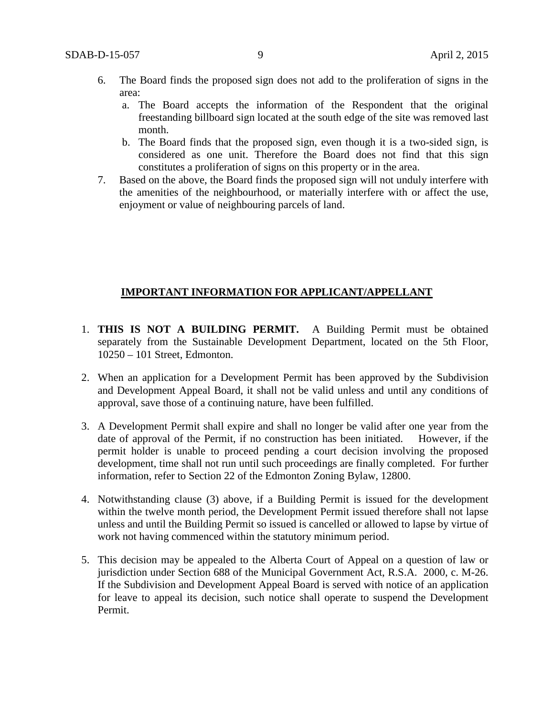- 6. The Board finds the proposed sign does not add to the proliferation of signs in the area:
	- a. The Board accepts the information of the Respondent that the original freestanding billboard sign located at the south edge of the site was removed last month.
	- b. The Board finds that the proposed sign, even though it is a two-sided sign, is considered as one unit. Therefore the Board does not find that this sign constitutes a proliferation of signs on this property or in the area.
- 7. Based on the above, the Board finds the proposed sign will not unduly interfere with the amenities of the neighbourhood, or materially interfere with or affect the use, enjoyment or value of neighbouring parcels of land.

### **IMPORTANT INFORMATION FOR APPLICANT/APPELLANT**

- 1. **THIS IS NOT A BUILDING PERMIT.** A Building Permit must be obtained separately from the Sustainable Development Department, located on the 5th Floor, 10250 – 101 Street, Edmonton.
- 2. When an application for a Development Permit has been approved by the Subdivision and Development Appeal Board, it shall not be valid unless and until any conditions of approval, save those of a continuing nature, have been fulfilled.
- 3. A Development Permit shall expire and shall no longer be valid after one year from the date of approval of the Permit, if no construction has been initiated. However, if the permit holder is unable to proceed pending a court decision involving the proposed development, time shall not run until such proceedings are finally completed. For further information, refer to Section 22 of the Edmonton Zoning Bylaw, 12800.
- 4. Notwithstanding clause (3) above, if a Building Permit is issued for the development within the twelve month period, the Development Permit issued therefore shall not lapse unless and until the Building Permit so issued is cancelled or allowed to lapse by virtue of work not having commenced within the statutory minimum period.
- 5. This decision may be appealed to the Alberta Court of Appeal on a question of law or jurisdiction under Section 688 of the Municipal Government Act, R.S.A. 2000, c. M-26. If the Subdivision and Development Appeal Board is served with notice of an application for leave to appeal its decision, such notice shall operate to suspend the Development Permit.